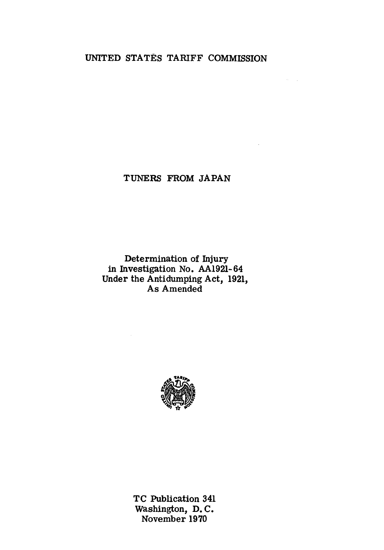# UNITED STATES TARIFF COMMISSION

 $\sim 10^{11}$  meV

# TUNERS FROM JAPAN

## Determination of Injury in Investigation No. AA1921-64 Under the Antidumping Act, 1921, As Amended



TC Publication 341 Washington, D. C. November 1970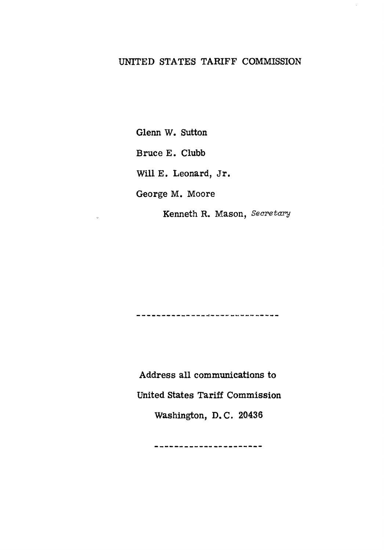# UNITED STATES TARIFF COMMISSION

Glenn W. Sutton Bruce E. Clubb Will E. Leonard, Jr. George M. Moore

 $\alpha$ 

Kenneth R. Mason, *Secretary* 

-----------------------------

Address all communications to United States Tariff Commission Washington, D. C. 20436

-----------------------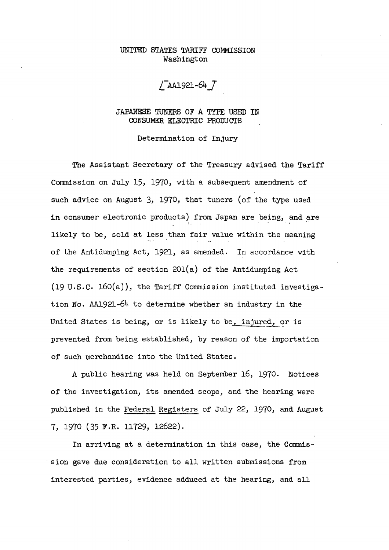## UNITED STATES TARIFF COMMISSION Washington

 $/T$ AA1921-64  $T$ 

JAPANESE TUNERS OF A TYPE USED IN CONSUMER ELECTRIC PRODUCTS

Determination of Injury

The Assistant Secretary of the Treasury advised the Tariff Commission on July 15, 1970, with a subsequent amendment of such advice on August 3, 1970, that tuners (of the type used in consumer electronic products) from Japan are being, and are likely to be, sold at less than fair value within the meaning of the Antidumping Act, 1921, as amended. In accordance with the requirements of section 20l(a) of the Antidumping Act (19 u.s.c. 160(a)), the Tariff Commission instituted investigation No. AA1921-64 to determine whether an industry in the United States is being, or is likely to be, injured, or is prevented from being established, by reason of the importation of such merchandise into the United States.

A public hearing was held on September 16, 1970. Notices of the investigation, its amended scope, and the hearing were published in the Federal Registers of July 22, 1970, and August 7, 1970 (35 F.R. 11729, 12622).

In arriving at a determination in this case, the Commis- · sion gave due consideration to all written submissions from interested parties, evidence adduced at the hearing, and all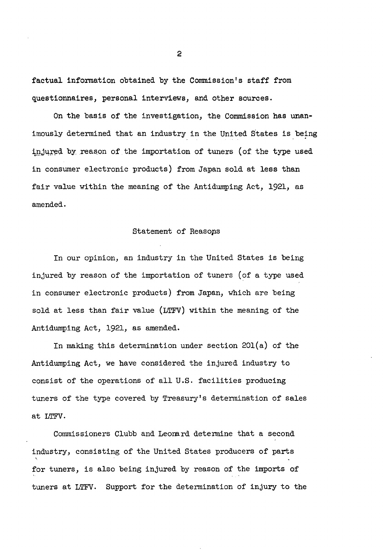factual information obtained by the Commission's staff from questionnaires, personal interviews, and other sources.

On the basis of the investigation, the Commission has unanimously determined that an industry in the United States is being injured by reason of the importation of tuners (of the type used in consumer electronic products) from Japan sold at less than fair value within the meaning of the Antidumping Act, 1921, as amended.

### Statement of Reasops

In our opinion, an industry in the United States is being injured by reason of the importation of tuners (of a type used in consumer electronic products) from Japan, which are being sold at less than fair value (LTFV) within the meaning of the Antidumping Act, 1921, as amended.

In making this determination under section 20l(a) of the Antidumping Act, we have considered the injured industry to consist of the operations of all U.S. facilities producing tuners of the type covered by Treasury's determination of sales at LTFV.

Commissioners Clubb and Leonard determine that a second industry, consisting of the United States producers of parts for tuners, is also being injured by reason of the imports of tuners at LTFV. Support for the determination of injury to the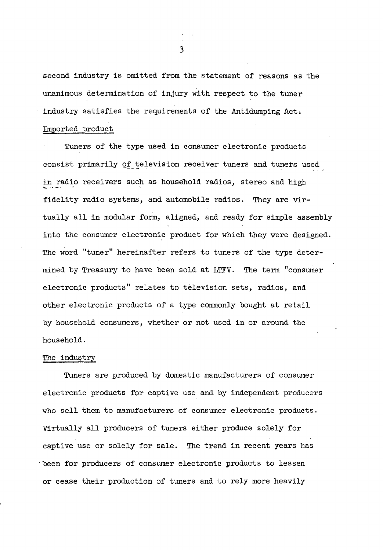second industry is omitted from the statement of reasons as the unanimous determination of injury with respect to the tuner industry satisfies the requirements of the Antidumping Act. Imported product

Tuners of the type used in consumer electronic products consist primarily of television receiver tuners and tuners used in radio receivers such as household radios, stereo and high fidelity radio systems, and automobile radios. They are virtually all in modular form, aligned, and ready for simple assembly into the consumer electronic product for which they were designed. The word "tuner" hereinafter refers to tuners of the type determined by Treasury to have been sold at LTFV. The term "consumer electronic products" relates to television sets, radios, and other electronic products of a type commonly bought at retail by household consumers, whether or not used in or around the household.

## The industry

Tuners are produced by domestic manufacturers of consumer electronic products for captive use and by independent producers who sell them to manufacturers of consumer electronic products. Virtually all producers of tuners either produce solely for captive use or solely for sale. The trend in recent years has ·been for producers of consumer electronic products to lessen or cease their production of tuners and to rely more heavily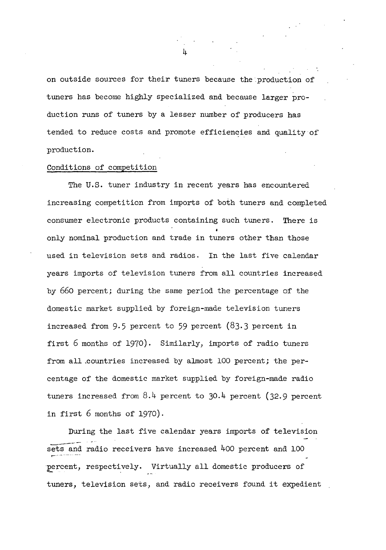on outside sources for their tuners because the production of tuners has become highly specialized and because larger production runs of tuners by a lesser number of producers has tended to reduce costs and promote efficiencies and quality of production.

#### Conditions of competition

The U.S. tuner industry in recent years has encountered increasing competition from imports of both tuners and completed consumer electronic products containing such tuners. There is only nominal production and trade in tuners other than those used in television sets and radios. In the last five calendar years imports of television tuners from all countries increased by 660 percent; during the same period the percentage of the domestic market supplied by foreign-made television tuners increased from 9.5 percent to 59 percent (83.3 percent in first 6 months of 1970). Similarly, imports of radio tuners from all .countries increased by almost 100 percent; the percentage of the domestic market supplied by foreign-made radio tuners increased from 8.4 percent to 30.4 percent (32.9 percent in first 6 months of 1970).

During the last five calendar years imports of television sets and radio receivers have increased  $400$  percent and 100 percent, respectively. Virtually all domestic producers of tuners, television sets, and radio receivers found it expedient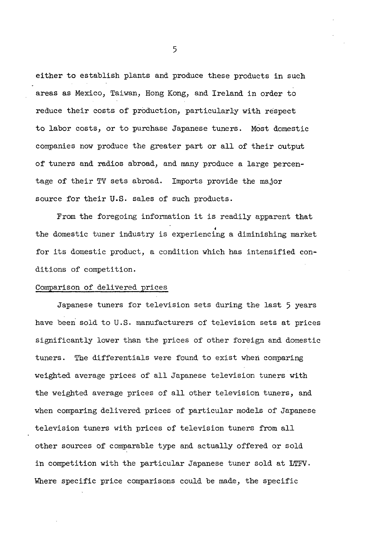either to establish plants and produce these products in such areas as Mexico, Taiwan, Hong Kong, and Ireland in order to reduce their costs of production, particularly with respect to labor costs, or to purchase Japanese tuners. Most domestic companies now produce the greater part or all of their output of tuners and radios abroad, and many produce a large percentage of their TV sets abroad. Imports provide the major source for their U.S. sales of such products.

From the foregoing information it is readily apparent that • the domestic tuner industry is experiencing a diminishing market for its domestic product, a condition which has intensified conditions of competition.

#### Comparison of delivered prices

Japanese tuners for television sets during the last 5 years have been sold to U.S. manufacturers of television sets at prices significantly lower than the prices of other foreign and domestic tuners. The differentials were found to exist when comparing weighted average prices of all Japanese television tuners with the weighted average prices of all other television tuners, and when comparing delivered prices of particular models of Japanese television tuners with prices of television tuners from all other sources of comparable type and actually offered or sold in competition with the particular Japanese tuner sold at LTFV. Where specific price comparisons could be made, the specific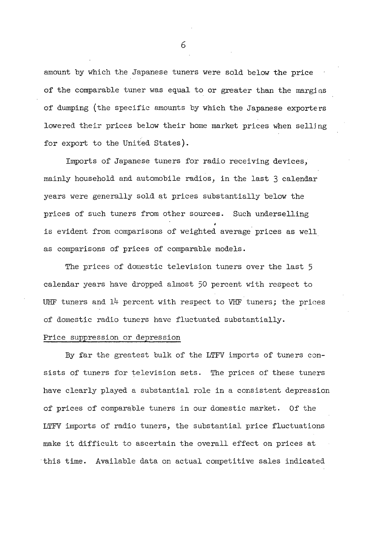amount by which the Japanese tuners were sold below the price of the comparable tuner was equal to or greater than the margins of dumping (the specific amounts by which the Japanese exporters lowered their prices below their home market prices when selljng for export to the United States).

Imports of Japanese tuners for radio receiving devices, mainly household and automobile radios, in the last 3 calendar years were generally sold at prices substantially below the prices of such tuners from other sources. Such underselling is evident from comparisons of weighted average prices as well as comparisons of prices of comparable models.

The prices of domestic television tuners over the last 5 calendar years have dropped almost 50 percent with respect to UHF tuners and 14 percent with respect to VHF tuners; the prices of domestic radio tuners have fluctuated substantially.

#### Price suppression or depression

By far the greatest bulk of the LTFV imports of tuners consists of tuners for television sets. The prices of these tuners have clearly played a substantial role in a consistent depression of prices of comparable tuners in our domestic market. Of the LTFV imports of radio tuners, the substantial price fluctuations make it difficult to ascertain the overall effect on prices at this time. Available data on actual competitive sales indicated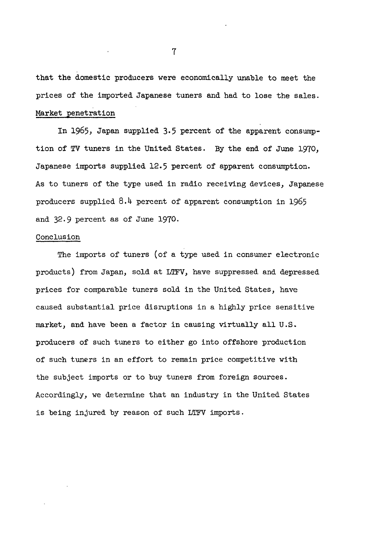that the domestic producers were economically unable to meet the prices of the imported Japanese tuners and had to lose the sales. Market penetration

In 1965, Japan supplied 3,5 percent of the apparent consumption of TV tuners in the United States. By the end of June 1970, Japanese imports supplied 12.5 percent of apparent consumption. As to tuners of the type used in radio receiving devices, Japanese producers supplied 8.4 percent of apparent consumption in 1965 and 32.9 percent as of June 1970.

#### Conclusion

The imports of tuners (of a type used in consumer electronic products) from Japan, sold at LTFV, have suppressed and depressed prices for comparable tuners sold in the United States, have caused substantial price disruptions in a highly price sensitive market, and have been a factor in causing virtually all U.S. producers of such tuners to either go into offshore production of such tuners in an effort to remain price competitive with the subject imports or to buy tuners from foreign sources. Accordingly, we determine that an industry in the United States is being injured by reason of such LTFV imports.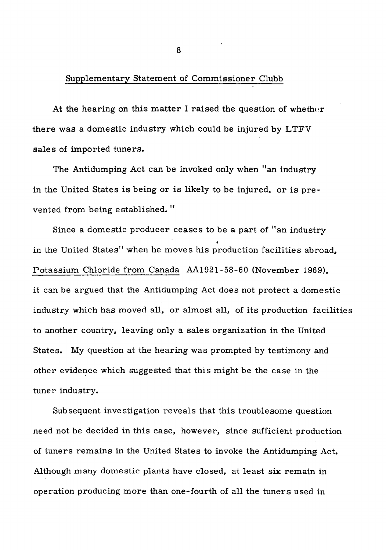## Supplementary Statement of Commissioner Clubb

At the hearing on this matter I raised the question of whether there was a domestic industry which could be injured by LTFV sales of imported tuners.

The Antidumping Act can be invoked only when "an industry in the United States is being or is likely to be injured, or is prevented from being established."

Since a domestic producer ceases to be a part of "an industry • in the United States" when he moves his production facilities abroad, Potassium Chloride from Canada AA1921-58-60 (November 1969), it can be argued that the Antidumping Act does not protect a domestic industry which has moved all, or almost all, of its production facilities to another country, leaving only a sales organization in the United States. My question at the hearing was prompted by testimony and other evidence which suggested that this might be the case in the tuner industry.

Subsequent investigation reveals that this troublesome question need not be decided in this case, however, since sufficient production of tuners remains in the United States to invoke the Antidumping Act. Although many domestic plants have closed, at least six remain in operation producing more than one-fourth of all the tuners used in